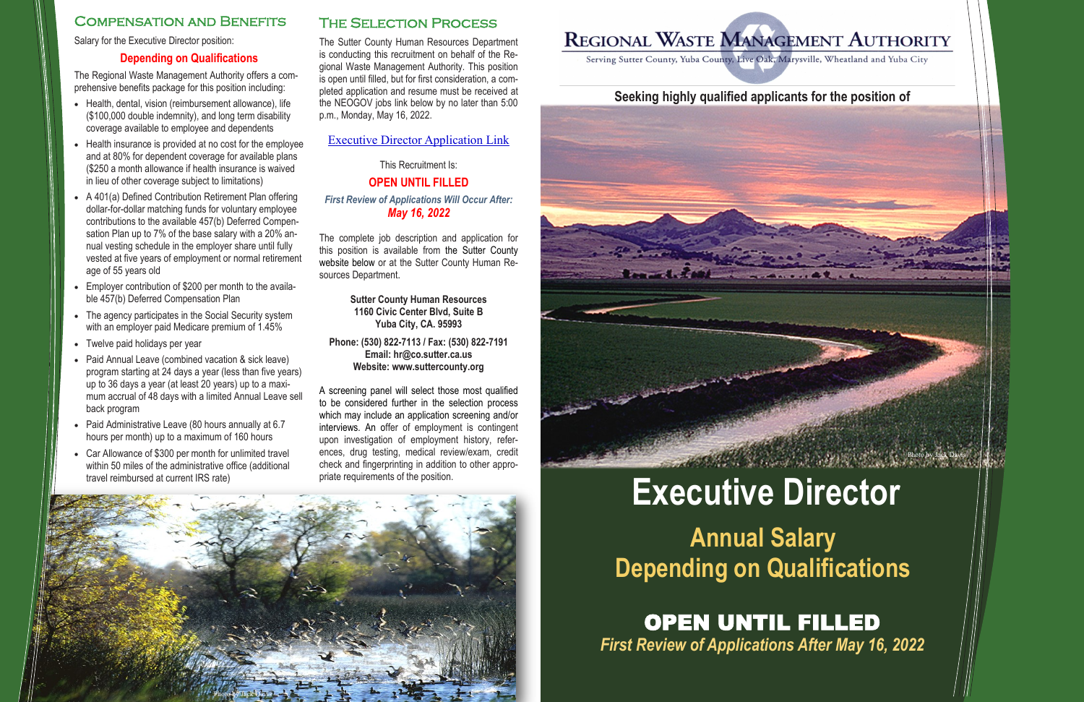

# The Selection Process

The Sutter County Human Resources Department is conducting this recruitment on behalf of the Regional Waste Management Authority. This position is open until filled, but for first consideration, a completed application and resume must be received at the NEOGOV jobs link below by no later than 5:00 p.m., Monday, May 16, 2022.

#### [Executive Director Application Link](https://www.governmentjobs.com/careers/SutterCounty/jobs/3375509/regional-waste-managment-authority-executive-director?pagetype=transferJobs)

This Recruitment Is:

# **OPEN UNTIL FILLED**

*First Review of Applications Will Occur After: May 16, 2022*

The complete job description and application for this position is available from the Sutter County website below or at the Sutter County Human Resources Department.

> **Sutter County Human Resources 1160 Civic Center Blvd, Suite B Yuba City, CA. 95993**

**Phone: (530) 822-7113 / Fax: (530) 822-7191 Email: hr@co.sutter.ca.us Website: www.suttercounty.org**

A screening panel will select those most qualified to be considered further in the selection process which may include an application screening and/or interviews. An offer of employment is contingent upon investigation of employment history, references, drug testing, medical review/exam, credit check and fingerprinting in addition to other appropriate requirements of the position.



# **Annual Salary Depending on Qualifications**

# Compensation and Benefits

Salary for the Executive Director position:

### **Depending on Qualifications**

- Health, dental, vision (reimbursement allowance), life (\$100,000 double indemnity), and long term disability coverage available to employee and dependents
- Health insurance is provided at no cost for the employee and at 80% for dependent coverage for available plans (\$250 a month allowance if health insurance is waived in lieu of other coverage subject to limitations)
- A 401(a) Defined Contribution Retirement Plan offering dollar-for-dollar matching funds for voluntary employee contributions to the available 457(b) Deferred Compensation Plan up to 7% of the base salary with a 20% annual vesting schedule in the employer share until fully vested at five years of employment or normal retirement age of 55 years old
- Employer contribution of \$200 per month to the available 457(b) Deferred Compensation Plan
- The agency participates in the Social Security system with an employer paid Medicare premium of 1.45%
- Twelve paid holidays per year
- Paid Annual Leave (combined vacation & sick leave) program starting at 24 days a year (less than five years) up to 36 days a year (at least 20 years) up to a maximum accrual of 48 days with a limited Annual Leave sell back program
- Paid Administrative Leave (80 hours annually at 6.7 hours per month) up to a maximum of 160 hours
- Car Allowance of \$300 per month for unlimited travel within 50 miles of the administrative office (additional travel reimbursed at current IRS rate)

The Regional Waste Management Authority offers a comprehensive benefits package for this position including:

> OPEN UNTIL FILLED *First Review of Applications After May 16, 2022*

# REGIONAL WASTE MANAGEMENT AUTHORITY

# A Search of the Company of the Company of

Photo by Jack Davis

# **Executive Director**